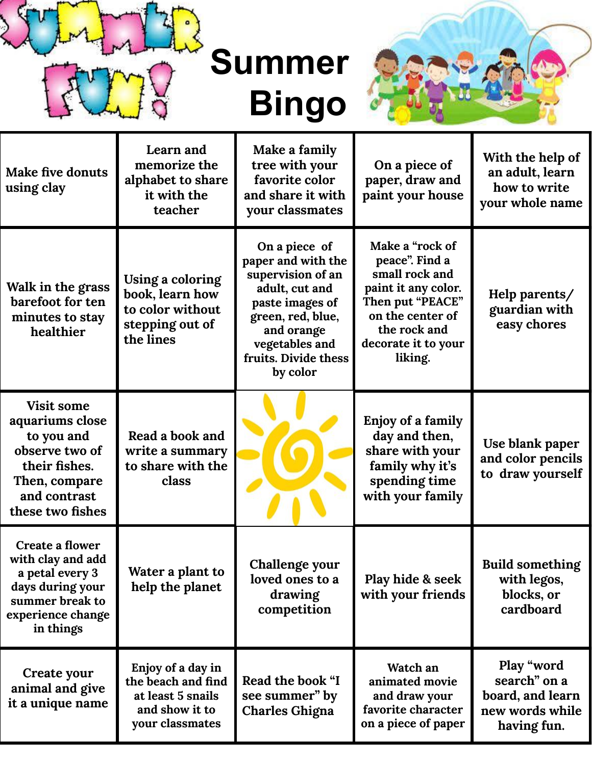

**Summer Bingo**



| <b>Make five donuts</b><br>using clay                                                                                                      | Learn and<br>memorize the<br>alphabet to share<br>it with the<br>teacher                          | Make a family<br>tree with your<br>favorite color<br>and share it with<br>your classmates                                                                                              | On a piece of<br>paper, draw and<br>paint your house                                                                                                                 | With the help of<br>an adult, learn<br>how to write<br>your whole name           |
|--------------------------------------------------------------------------------------------------------------------------------------------|---------------------------------------------------------------------------------------------------|----------------------------------------------------------------------------------------------------------------------------------------------------------------------------------------|----------------------------------------------------------------------------------------------------------------------------------------------------------------------|----------------------------------------------------------------------------------|
| Walk in the grass<br>barefoot for ten<br>minutes to stay<br>healthier                                                                      | Using a coloring<br>book, learn how<br>to color without<br>stepping out of<br>the lines           | On a piece of<br>paper and with the<br>supervision of an<br>adult, cut and<br>paste images of<br>green, red, blue,<br>and orange<br>vegetables and<br>fruits. Divide thess<br>by color | Make a "rock of<br>peace". Find a<br>small rock and<br>paint it any color.<br>Then put "PEACE"<br>on the center of<br>the rock and<br>decorate it to your<br>liking. | Help parents/<br>guardian with<br>easy chores                                    |
| <b>Visit some</b><br>aquariums close<br>to you and<br>observe two of<br>their fishes.<br>Then, compare<br>and contrast<br>these two fishes | Read a book and<br>write a summary<br>to share with the<br>class                                  |                                                                                                                                                                                        | Enjoy of a family<br>day and then,<br>share with your<br>family why it's<br>spending time<br>with your family                                                        | Use blank paper<br>and color pencils<br>to draw yourself                         |
| Create a flower<br>with clay and add<br>a petal every 3<br>days during your<br>summer break to<br>experience change<br>in things           | Water a plant to<br>help the planet                                                               | Challenge your<br>loved ones to a<br>drawing<br>competition                                                                                                                            | Play hide & seek<br>with your friends                                                                                                                                | <b>Build something</b><br>with legos,<br>blocks, or<br>cardboard                 |
| Create your<br>animal and give<br>it a unique name                                                                                         | Enjoy of a day in<br>the beach and find<br>at least 5 snails<br>and show it to<br>your classmates | Read the book "I<br>see summer" by<br><b>Charles Ghigna</b>                                                                                                                            | Watch an<br>animated movie<br>and draw your<br>favorite character<br>on a piece of paper                                                                             | Play "word<br>search" on a<br>board, and learn<br>new words while<br>having fun. |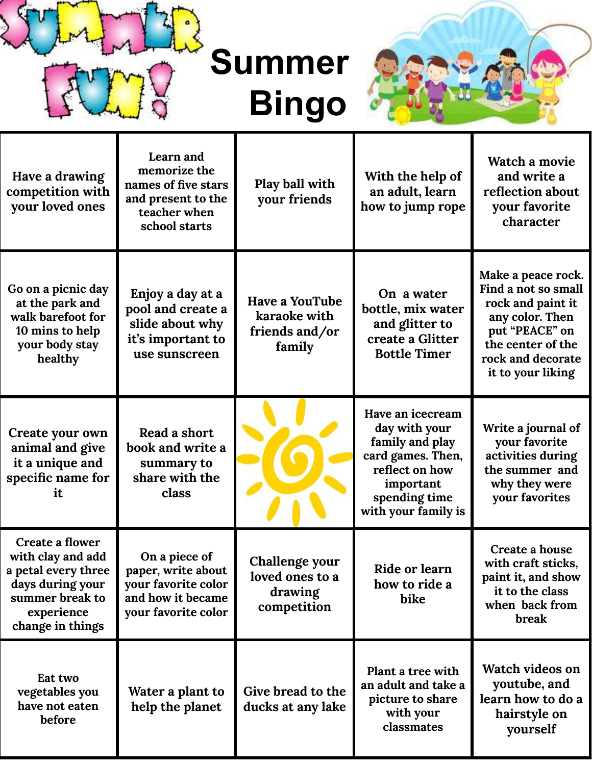

**Summer Bingo**



| Have a drawing<br>competition with<br>your loved ones                                                                                | Learn and<br>memorize the<br>names of five stars<br>and present to the<br>teacher when<br>school starts | Play ball with<br>your friends                                    | With the help of<br>an adult, learn<br>how to jump rope                                                                                          | Watch a movie<br>and write a<br>reflection about<br>your favorite<br>character                                                                                     |
|--------------------------------------------------------------------------------------------------------------------------------------|---------------------------------------------------------------------------------------------------------|-------------------------------------------------------------------|--------------------------------------------------------------------------------------------------------------------------------------------------|--------------------------------------------------------------------------------------------------------------------------------------------------------------------|
| Go on a picnic day<br>at the park and<br>walk barefoot for<br>10 mins to help<br>your body stay<br>healthy                           | Enjoy a day at a<br>pool and create a<br>slide about why<br>it's important to<br>use sunscreen          | <b>Have a YouTube</b><br>karaoke with<br>friends and/or<br>family | On a water<br>bottle, mix water<br>and glitter to<br>create a Glitter<br><b>Bottle Timer</b>                                                     | Make a peace rock.<br>Find a not so small<br>rock and paint it<br>any color. Then<br>put "PEACE" on<br>the center of the<br>rock and decorate<br>it to your liking |
| Create your own<br>animal and give<br>it a unique and<br>specific name for<br>it                                                     | Read a short<br>book and write a<br>summary to<br>share with the<br>class                               |                                                                   | Have an icecream<br>day with your<br>family and play<br>card games. Then,<br>reflect on how<br>important<br>spending time<br>with your family is | Write a journal of<br>your favorite<br>activities during<br>the summer and<br>why they were<br>your favorites                                                      |
| Create a flower<br>with clay and add<br>a petal every three<br>days during your<br>summer break to<br>experience<br>change in things | On a piece of<br>paper, write about<br>your favorite color<br>and how it became<br>your favorite color  | Challenge your<br>loved ones to a<br>drawing<br>competition       | <b>Ride or learn</b><br>how to ride a<br>bike                                                                                                    | Create a house<br>with craft sticks,<br>paint it, and show<br>it to the class<br>when back from<br>break                                                           |
| Eat two<br>vegetables you<br>have not eaten<br>before                                                                                | Water a plant to<br>help the planet                                                                     | Give bread to the<br>ducks at any lake                            | Plant a tree with<br>an adult and take a<br>picture to share<br>with your<br>classmates                                                          | Watch videos on<br>youtube, and<br>learn how to do a<br>hairstyle on<br>yourself                                                                                   |